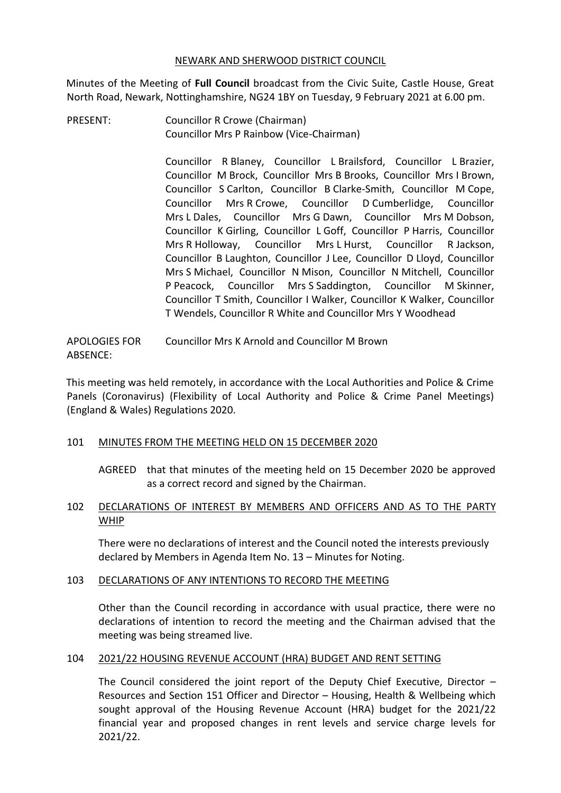#### NEWARK AND SHERWOOD DISTRICT COUNCIL

Minutes of the Meeting of **Full Council** broadcast from the Civic Suite, Castle House, Great North Road, Newark, Nottinghamshire, NG24 1BY on Tuesday, 9 February 2021 at 6.00 pm.

PRESENT: Councillor R Crowe (Chairman) Councillor Mrs P Rainbow (Vice-Chairman)

> Councillor R Blaney, Councillor L Brailsford, Councillor L Brazier, Councillor M Brock, Councillor Mrs B Brooks, Councillor Mrs I Brown, Councillor S Carlton, Councillor B Clarke-Smith, Councillor M Cope, Councillor Mrs R Crowe, Councillor D Cumberlidge, Councillor Mrs L Dales, Councillor Mrs G Dawn, Councillor Mrs M Dobson, Councillor K Girling, Councillor L Goff, Councillor P Harris, Councillor Mrs R Holloway, Councillor Mrs L Hurst, Councillor R Jackson, Councillor B Laughton, Councillor J Lee, Councillor D Lloyd, Councillor Mrs S Michael, Councillor N Mison, Councillor N Mitchell, Councillor P Peacock, Councillor Mrs S Saddington, Councillor M Skinner, Councillor T Smith, Councillor I Walker, Councillor K Walker, Councillor T Wendels, Councillor R White and Councillor Mrs Y Woodhead

APOLOGIES FOR ABSENCE: Councillor Mrs K Arnold and Councillor M Brown

This meeting was held remotely, in accordance with the Local Authorities and Police & Crime Panels (Coronavirus) (Flexibility of Local Authority and Police & Crime Panel Meetings) (England & Wales) Regulations 2020.

## 101 MINUTES FROM THE MEETING HELD ON 15 DECEMBER 2020

AGREED that that minutes of the meeting held on 15 December 2020 be approved as a correct record and signed by the Chairman.

# 102 DECLARATIONS OF INTEREST BY MEMBERS AND OFFICERS AND AS TO THE PARTY WHIP

There were no declarations of interest and the Council noted the interests previously declared by Members in Agenda Item No. 13 – Minutes for Noting.

## 103 DECLARATIONS OF ANY INTENTIONS TO RECORD THE MEETING

Other than the Council recording in accordance with usual practice, there were no declarations of intention to record the meeting and the Chairman advised that the meeting was being streamed live.

## 104 2021/22 HOUSING REVENUE ACCOUNT (HRA) BUDGET AND RENT SETTING

The Council considered the joint report of the Deputy Chief Executive. Director  $-$ Resources and Section 151 Officer and Director – Housing, Health & Wellbeing which sought approval of the Housing Revenue Account (HRA) budget for the 2021/22 financial year and proposed changes in rent levels and service charge levels for 2021/22.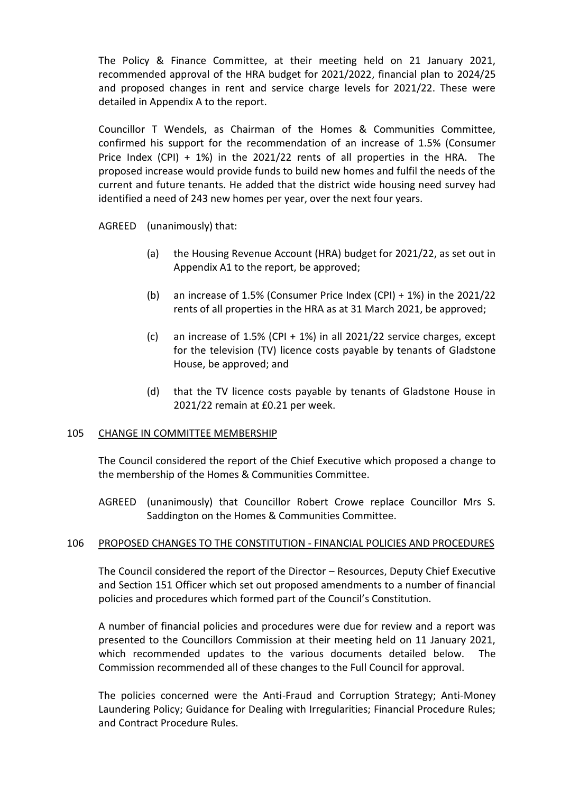The Policy & Finance Committee, at their meeting held on 21 January 2021, recommended approval of the HRA budget for 2021/2022, financial plan to 2024/25 and proposed changes in rent and service charge levels for 2021/22. These were detailed in Appendix A to the report.

Councillor T Wendels, as Chairman of the Homes & Communities Committee, confirmed his support for the recommendation of an increase of 1.5% (Consumer Price Index (CPI) + 1%) in the 2021/22 rents of all properties in the HRA. The proposed increase would provide funds to build new homes and fulfil the needs of the current and future tenants. He added that the district wide housing need survey had identified a need of 243 new homes per year, over the next four years.

AGREED (unanimously) that:

- (a) the Housing Revenue Account (HRA) budget for 2021/22, as set out in Appendix A1 to the report, be approved;
- (b) an increase of 1.5% (Consumer Price Index (CPI) + 1%) in the 2021/22 rents of all properties in the HRA as at 31 March 2021, be approved;
- (c) an increase of 1.5% (CPI + 1%) in all 2021/22 service charges, except for the television (TV) licence costs payable by tenants of Gladstone House, be approved; and
- (d) that the TV licence costs payable by tenants of Gladstone House in 2021/22 remain at £0.21 per week.

## 105 CHANGE IN COMMITTEE MEMBERSHIP

The Council considered the report of the Chief Executive which proposed a change to the membership of the Homes & Communities Committee.

AGREED (unanimously) that Councillor Robert Crowe replace Councillor Mrs S. Saddington on the Homes & Communities Committee.

## 106 PROPOSED CHANGES TO THE CONSTITUTION - FINANCIAL POLICIES AND PROCEDURES

The Council considered the report of the Director – Resources, Deputy Chief Executive and Section 151 Officer which set out proposed amendments to a number of financial policies and procedures which formed part of the Council's Constitution.

A number of financial policies and procedures were due for review and a report was presented to the Councillors Commission at their meeting held on 11 January 2021, which recommended updates to the various documents detailed below. The Commission recommended all of these changes to the Full Council for approval.

The policies concerned were the Anti-Fraud and Corruption Strategy; Anti-Money Laundering Policy; Guidance for Dealing with Irregularities; Financial Procedure Rules; and Contract Procedure Rules.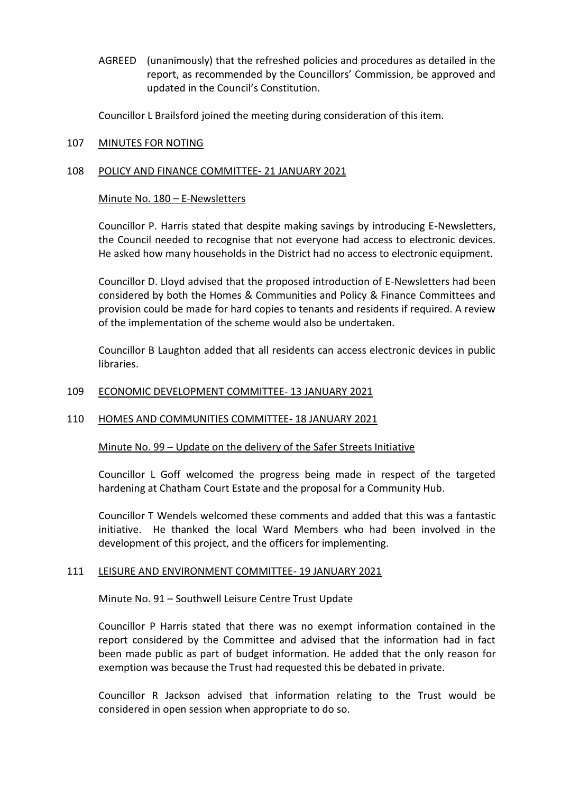AGREED (unanimously) that the refreshed policies and procedures as detailed in the report, as recommended by the Councillors' Commission, be approved and updated in the Council's Constitution.

Councillor L Brailsford joined the meeting during consideration of this item.

## 107 MINUTES FOR NOTING

## 108 POLICY AND FINANCE COMMITTEE- 21 JANUARY 2021

## Minute No. 180 – E-Newsletters

Councillor P. Harris stated that despite making savings by introducing E-Newsletters, the Council needed to recognise that not everyone had access to electronic devices. He asked how many households in the District had no access to electronic equipment.

Councillor D. Lloyd advised that the proposed introduction of E-Newsletters had been considered by both the Homes & Communities and Policy & Finance Committees and provision could be made for hard copies to tenants and residents if required. A review of the implementation of the scheme would also be undertaken.

Councillor B Laughton added that all residents can access electronic devices in public libraries.

## 109 ECONOMIC DEVELOPMENT COMMITTEE- 13 JANUARY 2021

# 110 HOMES AND COMMUNITIES COMMITTEE- 18 JANUARY 2021

Minute No. 99 – Update on the delivery of the Safer Streets Initiative

Councillor L Goff welcomed the progress being made in respect of the targeted hardening at Chatham Court Estate and the proposal for a Community Hub.

Councillor T Wendels welcomed these comments and added that this was a fantastic initiative. He thanked the local Ward Members who had been involved in the development of this project, and the officers for implementing.

## 111 LEISURE AND ENVIRONMENT COMMITTEE- 19 JANUARY 2021

## Minute No. 91 – Southwell Leisure Centre Trust Update

Councillor P Harris stated that there was no exempt information contained in the report considered by the Committee and advised that the information had in fact been made public as part of budget information. He added that the only reason for exemption was because the Trust had requested this be debated in private.

Councillor R Jackson advised that information relating to the Trust would be considered in open session when appropriate to do so.